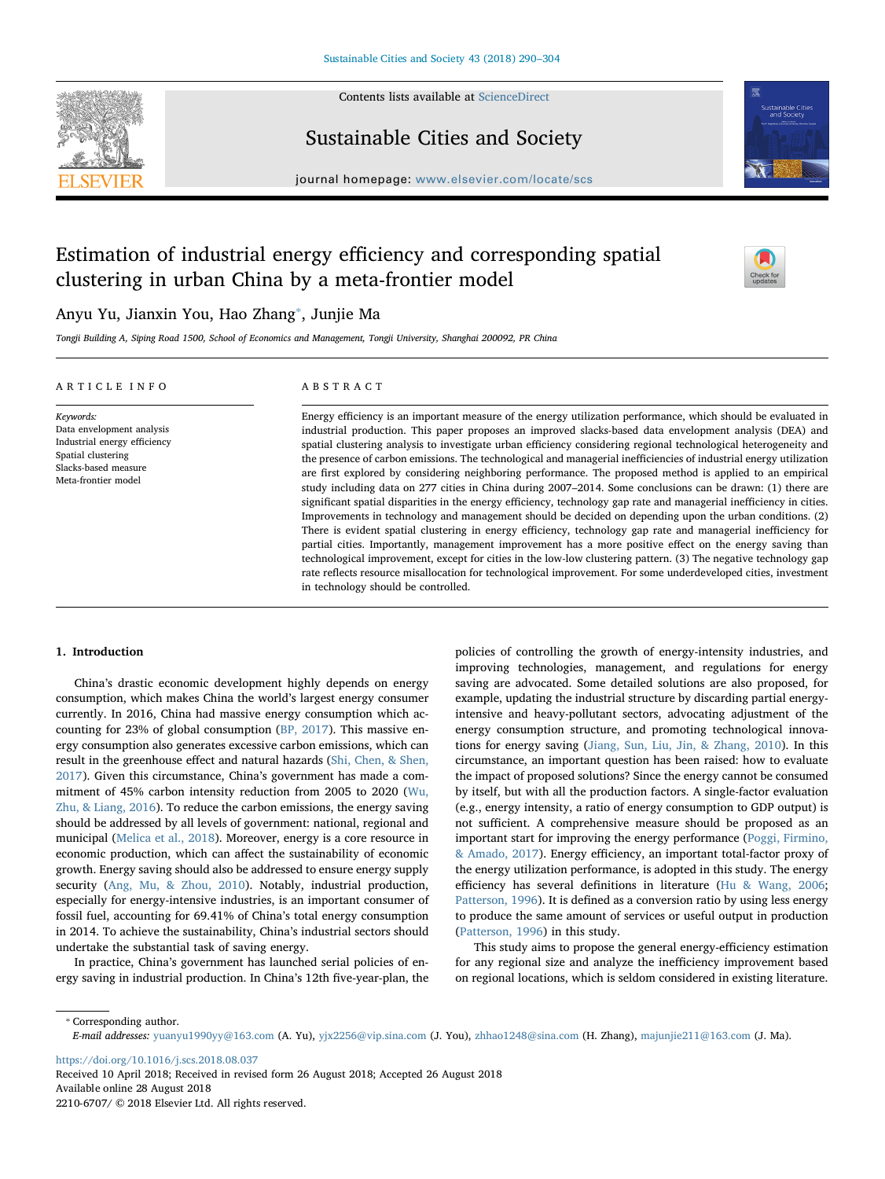

Contents lists available at [ScienceDirect](http://www.sciencedirect.com/science/journal/22106707)

Sustainable Cities and Society



 $j<sub>i</sub>$ , where  $i<sub>i</sub>$  is the page of location of location  $s$ 

# Estimation of industrial energy efficiency and corresponding spatial clustering in urban China by a meta-frontier model



# Anyu Yu, Jianxin You, Hao Zhang[⁎](#page-0-0) , Junjie Ma

Tongji Building A, Siping Road 1500, School of Economics and Management, Tongji University, Shanghai 200092, PR China

#### ARTICLE INFO

Data envelopment analysis Industrial energy efficiency Spatial clustering Slacks-based measure Meta-frontier model

Keywords:

## ABSTRACT

Energy efficiency is an important measure of the energy utilization performance, which should be evaluated in industrial production. This paper proposes an improved slacks-based data envelopment analysis (DEA) and spatial clustering analysis to investigate urban efficiency considering regional technological heterogeneity and the presence of carbon emissions. The technological and managerial inefficiencies of industrial energy utilization are first explored by considering neighboring performance. The proposed method is applied to an empirical study including data on 277 cities in China during 2007–2014. Some conclusions can be drawn: (1) there are significant spatial disparities in the energy efficiency, technology gap rate and managerial inefficiency in cities. Improvements in technology and management should be decided on depending upon the urban conditions. (2) There is evident spatial clustering in energy efficiency, technology gap rate and managerial inefficiency for partial cities. Importantly, management improvement has a more positive effect on the energy saving than technological improvement, except for cities in the low-low clustering pattern. (3) The negative technology gap rate reflects resource misallocation for technological improvement. For some underdeveloped cities, investment in technology should be controlled.

#### 1. Introduction

China's drastic economic development highly depends on energy consumption, which makes China the world's largest energy consumer currently. In 2016, China had massive energy consumption which accounting for 23% of global consumption ([BP, 2017](#page--1-0)). This massive energy consumption also generates excessive carbon emissions, which can result in the greenhouse effect and natural hazards ([Shi, Chen, & Shen,](#page--1-1) [2017\)](#page--1-1). Given this circumstance, China's government has made a commitment of 45% carbon intensity reduction from 2005 to 2020 ([Wu,](#page--1-2) [Zhu, & Liang, 2016\)](#page--1-2). To reduce the carbon emissions, the energy saving should be addressed by all levels of government: national, regional and municipal [\(Melica et al., 2018\)](#page--1-3). Moreover, energy is a core resource in economic production, which can affect the sustainability of economic growth. Energy saving should also be addressed to ensure energy supply security ([Ang, Mu, & Zhou, 2010](#page--1-4)). Notably, industrial production, especially for energy-intensive industries, is an important consumer of fossil fuel, accounting for 69.41% of China's total energy consumption in 2014. To achieve the sustainability, China's industrial sectors should undertake the substantial task of saving energy.

In practice, China's government has launched serial policies of energy saving in industrial production. In China's 12th five-year-plan, the

policies of controlling the growth of energy-intensity industries, and improving technologies, management, and regulations for energy saving are advocated. Some detailed solutions are also proposed, for example, updating the industrial structure by discarding partial energyintensive and heavy-pollutant sectors, advocating adjustment of the energy consumption structure, and promoting technological innovations for energy saving ([Jiang, Sun, Liu, Jin, & Zhang, 2010\)](#page--1-5). In this circumstance, an important question has been raised: how to evaluate the impact of proposed solutions? Since the energy cannot be consumed by itself, but with all the production factors. A single-factor evaluation (e.g., energy intensity, a ratio of energy consumption to GDP output) is not sufficient. A comprehensive measure should be proposed as an important start for improving the energy performance [\(Poggi, Firmino,](#page--1-6) [& Amado, 2017\)](#page--1-6). Energy efficiency, an important total-factor proxy of the energy utilization performance, is adopted in this study. The energy efficiency has several definitions in literature [\(Hu & Wang, 2006](#page--1-7); [Patterson, 1996\)](#page--1-8). It is defined as a conversion ratio by using less energy to produce the same amount of services or useful output in production ([Patterson, 1996\)](#page--1-8) in this study.

This study aims to propose the general energy-efficiency estimation for any regional size and analyze the inefficiency improvement based on regional locations, which is seldom considered in existing literature.

<span id="page-0-0"></span>⁎ Corresponding author.

<https://doi.org/10.1016/j.scs.2018.08.037>

Received 10 April 2018; Received in revised form 26 August 2018; Accepted 26 August 2018 Available online 28 August 2018 2210-6707/ © 2018 Elsevier Ltd. All rights reserved.

E-mail addresses: [yuanyu1990yy@163.com](mailto:yuanyu1990yy@163.com) (A. Yu), [yjx2256@vip.sina.com](mailto:yjx2256@vip.sina.com) (J. You), [zhhao1248@sina.com](mailto:zhhao1248@sina.com) (H. Zhang), [majunjie211@163.com](mailto:majunjie211@163.com) (J. Ma).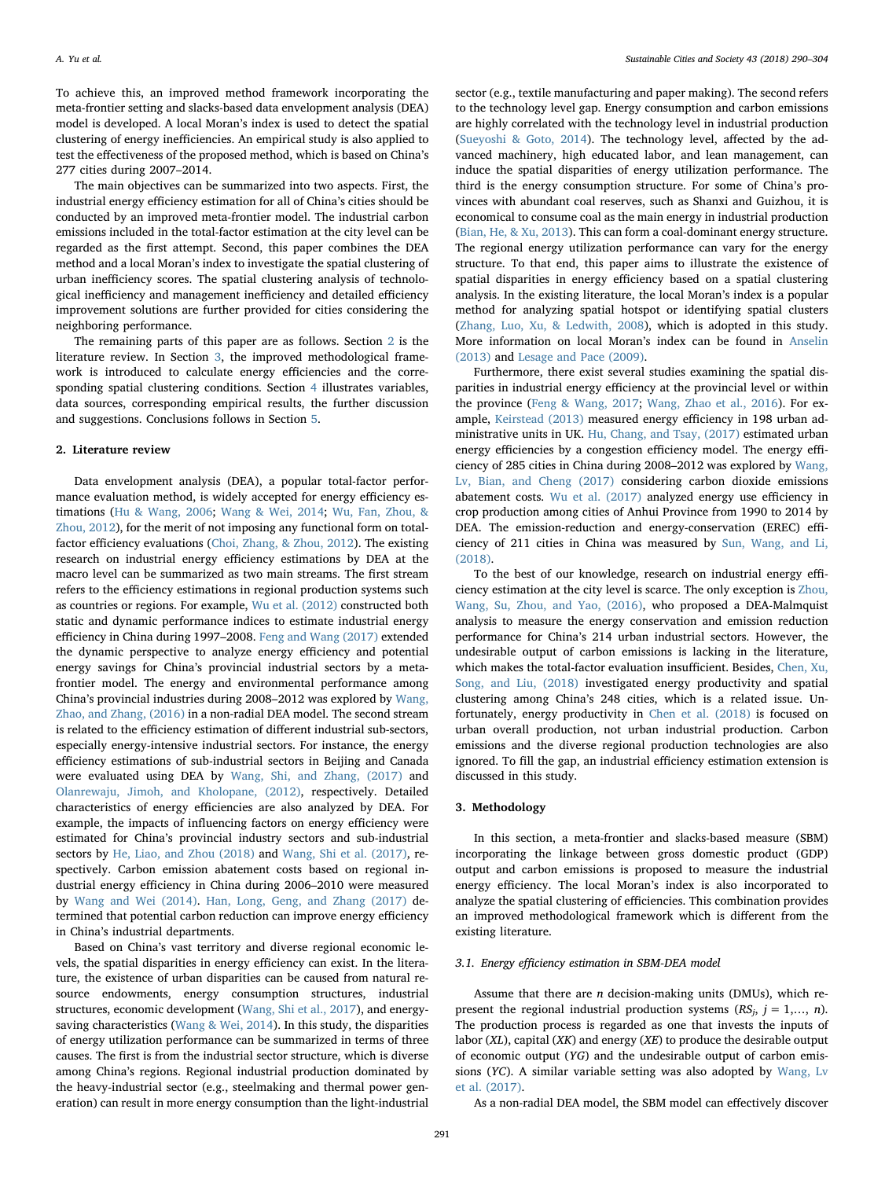To achieve this, an improved method framework incorporating the meta-frontier setting and slacks-based data envelopment analysis (DEA) model is developed. A local Moran's index is used to detect the spatial clustering of energy inefficiencies. An empirical study is also applied to test the effectiveness of the proposed method, which is based on China's 277 cities during 2007–2014.

The main objectives can be summarized into two aspects. First, the industrial energy efficiency estimation for all of China's cities should be conducted by an improved meta-frontier model. The industrial carbon emissions included in the total-factor estimation at the city level can be regarded as the first attempt. Second, this paper combines the DEA method and a local Moran's index to investigate the spatial clustering of urban inefficiency scores. The spatial clustering analysis of technological inefficiency and management inefficiency and detailed efficiency improvement solutions are further provided for cities considering the neighboring performance.

The remaining parts of this paper are as follows. Section [2](#page-1-0) is the literature review. In Section [3,](#page-1-1) the improved methodological framework is introduced to calculate energy efficiencies and the corresponding spatial clustering conditions. Section [4](#page--1-9) illustrates variables, data sources, corresponding empirical results, the further discussion and suggestions. Conclusions follows in Section [5.](#page--1-10)

#### <span id="page-1-0"></span>2. Literature review

Data envelopment analysis (DEA), a popular total-factor performance evaluation method, is widely accepted for energy efficiency estimations ([Hu & Wang, 2006](#page--1-7); [Wang & Wei, 2014](#page--1-11); [Wu, Fan, Zhou, &](#page--1-12) [Zhou, 2012\)](#page--1-12), for the merit of not imposing any functional form on totalfactor efficiency evaluations [\(Choi, Zhang, & Zhou, 2012](#page--1-13)). The existing research on industrial energy efficiency estimations by DEA at the macro level can be summarized as two main streams. The first stream refers to the efficiency estimations in regional production systems such as countries or regions. For example, [Wu et al. \(2012\)](#page--1-12) constructed both static and dynamic performance indices to estimate industrial energy efficiency in China during 1997–2008. [Feng and Wang \(2017\)](#page--1-14) extended the dynamic perspective to analyze energy efficiency and potential energy savings for China's provincial industrial sectors by a metafrontier model. The energy and environmental performance among China's provincial industries during 2008–2012 was explored by [Wang,](#page--1-15) [Zhao, and Zhang, \(2016\)](#page--1-15) in a non-radial DEA model. The second stream is related to the efficiency estimation of different industrial sub-sectors, especially energy-intensive industrial sectors. For instance, the energy efficiency estimations of sub-industrial sectors in Beijing and Canada were evaluated using DEA by [Wang, Shi, and Zhang, \(2017\)](#page--1-16) and [Olanrewaju, Jimoh, and Kholopane, \(2012\)](#page--1-9), respectively. Detailed characteristics of energy efficiencies are also analyzed by DEA. For example, the impacts of influencing factors on energy efficiency were estimated for China's provincial industry sectors and sub-industrial sectors by [He, Liao, and Zhou \(2018\)](#page--1-17) and [Wang, Shi et al. \(2017\)](#page--1-16), respectively. Carbon emission abatement costs based on regional industrial energy efficiency in China during 2006–2010 were measured by [Wang and Wei \(2014\).](#page--1-11) [Han, Long, Geng, and Zhang \(2017\)](#page--1-18) determined that potential carbon reduction can improve energy efficiency in China's industrial departments.

Based on China's vast territory and diverse regional economic levels, the spatial disparities in energy efficiency can exist. In the literature, the existence of urban disparities can be caused from natural resource endowments, energy consumption structures, industrial structures, economic development ([Wang, Shi et al., 2017\)](#page--1-16), and energysaving characteristics ([Wang & Wei, 2014\)](#page--1-11). In this study, the disparities of energy utilization performance can be summarized in terms of three causes. The first is from the industrial sector structure, which is diverse among China's regions. Regional industrial production dominated by the heavy-industrial sector (e.g., steelmaking and thermal power generation) can result in more energy consumption than the light-industrial

sector (e.g., textile manufacturing and paper making). The second refers to the technology level gap. Energy consumption and carbon emissions are highly correlated with the technology level in industrial production ([Sueyoshi & Goto, 2014](#page--1-19)). The technology level, affected by the advanced machinery, high educated labor, and lean management, can induce the spatial disparities of energy utilization performance. The third is the energy consumption structure. For some of China's provinces with abundant coal reserves, such as Shanxi and Guizhou, it is economical to consume coal as the main energy in industrial production ([Bian, He, & Xu, 2013\)](#page--1-20). This can form a coal-dominant energy structure. The regional energy utilization performance can vary for the energy structure. To that end, this paper aims to illustrate the existence of spatial disparities in energy efficiency based on a spatial clustering analysis. In the existing literature, the local Moran's index is a popular method for analyzing spatial hotspot or identifying spatial clusters ([Zhang, Luo, Xu, & Ledwith, 2008\)](#page--1-21), which is adopted in this study. More information on local Moran's index can be found in [Anselin](#page--1-22) [\(2013\)](#page--1-22) and [Lesage and Pace \(2009\).](#page--1-23)

Furthermore, there exist several studies examining the spatial disparities in industrial energy efficiency at the provincial level or within the province ([Feng & Wang, 2017](#page--1-14); [Wang, Zhao et al., 2016\)](#page--1-15). For example, [Keirstead \(2013\)](#page--1-24) measured energy efficiency in 198 urban administrative units in UK. [Hu, Chang, and Tsay, \(2017\)](#page--1-25) estimated urban energy efficiencies by a congestion efficiency model. The energy efficiency of 285 cities in China during 2008–2012 was explored by [Wang,](#page--1-26) [Lv, Bian, and Cheng \(2017\)](#page--1-26) considering carbon dioxide emissions abatement costs. [Wu et al. \(2017\)](#page--1-27) analyzed energy use efficiency in crop production among cities of Anhui Province from 1990 to 2014 by DEA. The emission-reduction and energy-conservation (EREC) efficiency of 211 cities in China was measured by [Sun, Wang, and Li,](#page--1-28) [\(2018\).](#page--1-28)

To the best of our knowledge, research on industrial energy efficiency estimation at the city level is scarce. The only exception is [Zhou,](#page--1-29) [Wang, Su, Zhou, and Yao, \(2016\),](#page--1-29) who proposed a DEA-Malmquist analysis to measure the energy conservation and emission reduction performance for China's 214 urban industrial sectors. However, the undesirable output of carbon emissions is lacking in the literature, which makes the total-factor evaluation insufficient. Besides, [Chen, Xu,](#page--1-30) [Song, and Liu, \(2018\)](#page--1-30) investigated energy productivity and spatial clustering among China's 248 cities, which is a related issue. Unfortunately, energy productivity in [Chen et al. \(2018\)](#page--1-30) is focused on urban overall production, not urban industrial production. Carbon emissions and the diverse regional production technologies are also ignored. To fill the gap, an industrial efficiency estimation extension is discussed in this study.

#### <span id="page-1-1"></span>3. Methodology

In this section, a meta-frontier and slacks-based measure (SBM) incorporating the linkage between gross domestic product (GDP) output and carbon emissions is proposed to measure the industrial energy efficiency. The local Moran's index is also incorporated to analyze the spatial clustering of efficiencies. This combination provides an improved methodological framework which is different from the existing literature.

### 3.1. Energy efficiency estimation in SBM-DEA model

Assume that there are  $n$  decision-making units (DMUs), which represent the regional industrial production systems  $(RS_i, j = 1,..., n)$ . The production process is regarded as one that invests the inputs of labor (XL), capital (XK) and energy (XE) to produce the desirable output of economic output (YG) and the undesirable output of carbon emissions (YC). A similar variable setting was also adopted by [Wang, Lv](#page--1-26) [et al. \(2017\)](#page--1-26).

As a non-radial DEA model, the SBM model can effectively discover